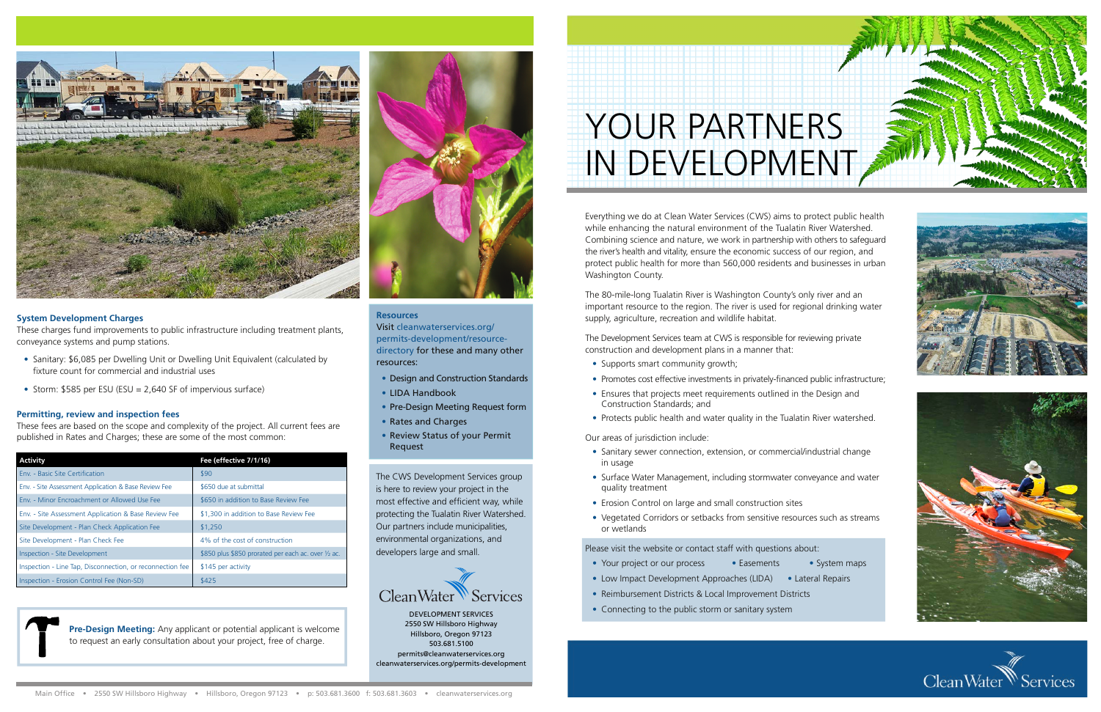# YOUR PARTNERS IN DEVELOPMENT

Everything we do at Clean Water Services (CWS) aims to protect public health while enhancing the natural environment of the Tualatin River Watershed. Combining science and nature, we work in partnership with others to safeguard the river's health and vitality, ensure the economic success of our region, and protect public health for more than 560,000 residents and businesses in urban Washington County.

The 80-mile-long Tualatin River is Washington County's only river and an important resource to the region. The river is used for regional drinking water supply, agriculture, recreation and wildlife habitat.

The Development Services team at CWS is responsible for reviewing private construction and development plans in a manner that:

- Supports smart community growth;
- Promotes cost effective investments in privately-financed public infrastructure;
- Ensures that projects meet requirements outlined in the Design and Construction Standards; and
- Protects public health and water quality in the Tualatin River watershed.

Our areas of jurisdiction include:

- Sanitary sewer connection, extension, or commercial/industrial change in usage
- Surface Water Management, including stormwater conveyance and water quality treatment
- Erosion Control on large and small construction sites
- Vegetated Corridors or setbacks from sensitive resources such as streams or wetlands
- Sanitary: \$6,085 per Dwelling Unit or Dwelling Unit Equivalent (calculated by fixture count for commercial and industrial uses
- Storm: \$585 per ESU (ESU = 2,640 SF of impervious surface)

# Please visit the website or contact staff with questions about:

- Your project or our process Easements System maps
- Low Impact Development Approaches (LIDA) Lateral Repairs
- Reimbursement Districts & Local Improvement Districts
- Connecting to the public storm or sanitary system

The CWS Development Services group is here to review your project in the most effective and efficient way, while protecting the Tualatin River Watershed. Our partners include municipalities, environmental organizations, and developers large and small.











DEVELOPMENT SERVICES 2550 SW Hillsboro Highway Hillsboro, Oregon 97123 503.681.5100 permits@cleanwaterservices.org cleanwaterservices.org/permits-development

#### **Resources**

Visit cleanwaterservices.org/ permits-development/resourcedirectory for these and many other resources:

- Design and Construction Standards
- LIDA Handbook
- Pre-Design Meeting Request form
- Rates and Charges
- Review Status of your Permit Request



## **System Development Charges**

These charges fund improvements to public infrastructure including treatment plants, conveyance systems and pump stations.

> **Pre-Design Meeting:** Any applicant or potential applicant is welcome to request an early consultation about your project, free of charge.



### **Permitting, review and inspection fees**

These fees are based on the scope and complexity of the project. All current fees are published in Rates and Charges; these are some of the most common:

| <b>Activity</b>                                           | Fee (effective 7/1/16)                              |
|-----------------------------------------------------------|-----------------------------------------------------|
| Env. - Basic Site Certification                           | \$90                                                |
| Env. - Site Assessment Application & Base Review Fee      | \$650 due at submittal                              |
| Env. - Minor Encroachment or Allowed Use Fee              | \$650 in addition to Base Review Fee                |
| Env. - Site Assessment Application & Base Review Fee      | \$1,300 in addition to Base Review Fee              |
| Site Development - Plan Check Application Fee             | \$1,250                                             |
| Site Development - Plan Check Fee                         | 4% of the cost of construction                      |
| Inspection - Site Development                             | \$850 plus \$850 prorated per each ac. over 1/2 ac. |
| Inspection - Line Tap, Disconnection, or reconnection fee | \$145 per activity                                  |
| Inspection - Erosion Control Fee (Non-SD)                 | \$425                                               |